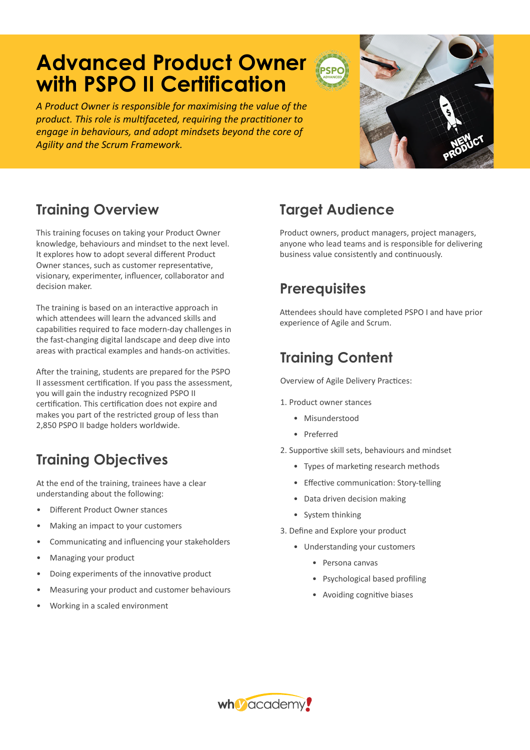# **Advanced Product Owner with PSPO II Certification**

*A Product Owner is responsible for maximising the value of the product. This role is multifaceted, requiring the practitioner to engage in behaviours, and adopt mindsets beyond the core of Agility and the Scrum Framework.* 

### **Training Overview**

This training focuses on taking your Product Owner knowledge, behaviours and mindset to the next level. It explores how to adopt several different Product Owner stances, such as customer representative, visionary, experimenter, influencer, collaborator and decision maker.

The training is based on an interactive approach in which attendees will learn the advanced skills and capabilities required to face modern-day challenges in the fast-changing digital landscape and deep dive into areas with practical examples and hands-on activities.

After the training, students are prepared for the PSPO II assessment certification. If you pass the assessment, you will gain the industry recognized PSPO II certification. This certification does not expire and makes you part of the restricted group of less than 2,850 PSPO II badge holders worldwide.

### **Training Objectives**

At the end of the training, trainees have a clear understanding about the following:

- Different Product Owner stances
- Making an impact to your customers
- Communicating and influencing your stakeholders
- Managing your product
- Doing experiments of the innovative product
- Measuring your product and customer behaviours
- Working in a scaled environment

### **Target Audience**

Product owners, product managers, project managers, anyone who lead teams and is responsible for delivering business value consistently and continuously.

### **Prerequisites**

Attendees should have completed PSPO I and have prior experience of Agile and Scrum.

### **Training Content**

Overview of Agile Delivery Practices:

- 1. Product owner stances
	- Misunderstood
	- Preferred
- 2. Supportive skill sets, behaviours and mindset
	- Types of marketing research methods
	- Effective communication: Story-telling
	- Data driven decision making
	- System thinking
- 3. Define and Explore your product
	- Understanding your customers
		- Persona canvas
		- Psychological based profiling
		- Avoiding cognitive biases